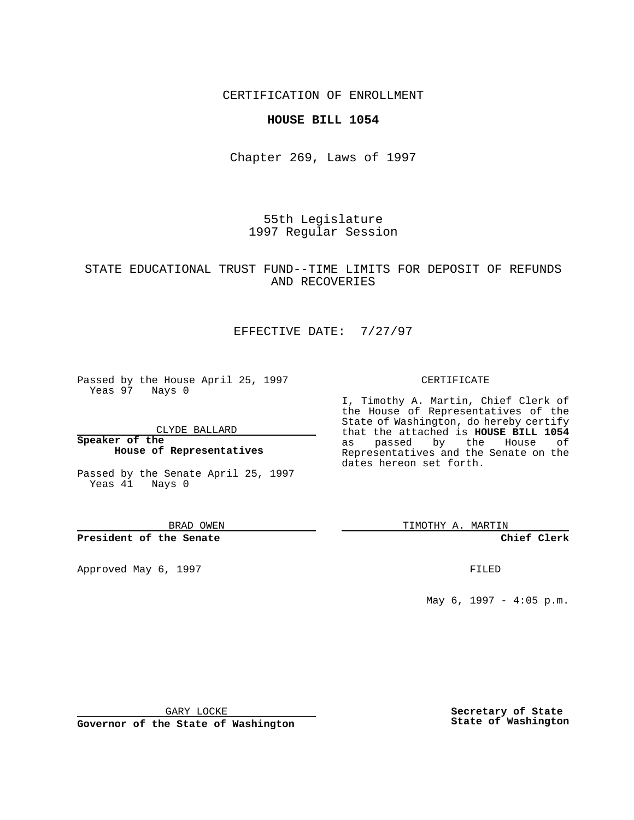## CERTIFICATION OF ENROLLMENT

## **HOUSE BILL 1054**

Chapter 269, Laws of 1997

55th Legislature 1997 Regular Session

# STATE EDUCATIONAL TRUST FUND--TIME LIMITS FOR DEPOSIT OF REFUNDS AND RECOVERIES

# EFFECTIVE DATE: 7/27/97

Passed by the House April 25, 1997 Yeas 97 Nays 0

CLYDE BALLARD

**Speaker of the House of Representatives**

Passed by the Senate April 25, 1997 Yeas 41 Nays 0

BRAD OWEN

#### **President of the Senate**

Approved May 6, 1997 **FILED** 

CERTIFICATE

I, Timothy A. Martin, Chief Clerk of the House of Representatives of the State of Washington, do hereby certify that the attached is **HOUSE BILL 1054** as passed by the House of Representatives and the Senate on the dates hereon set forth.

TIMOTHY A. MARTIN

**Chief Clerk**

May 6, 1997 - 4:05 p.m.

GARY LOCKE

**Governor of the State of Washington**

**Secretary of State State of Washington**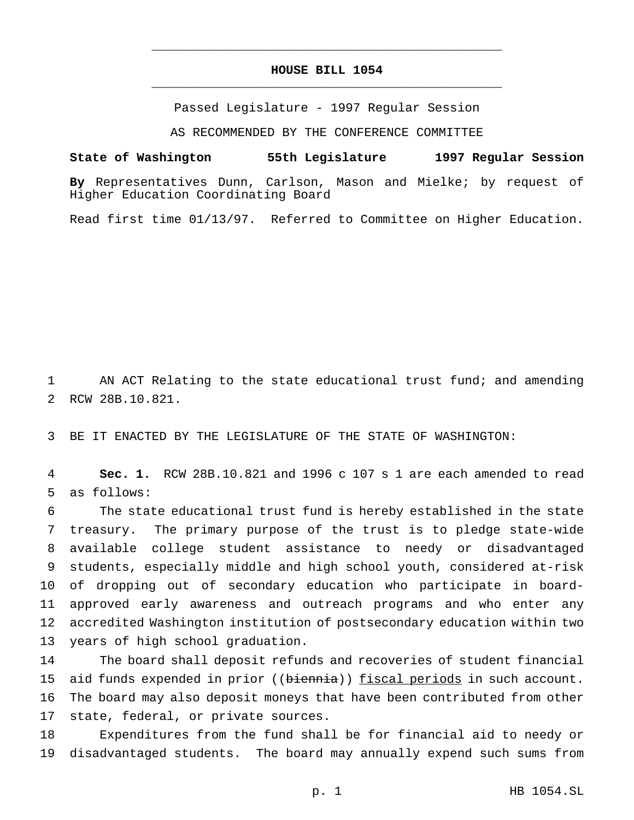# **HOUSE BILL 1054** \_\_\_\_\_\_\_\_\_\_\_\_\_\_\_\_\_\_\_\_\_\_\_\_\_\_\_\_\_\_\_\_\_\_\_\_\_\_\_\_\_\_\_\_\_\_\_

\_\_\_\_\_\_\_\_\_\_\_\_\_\_\_\_\_\_\_\_\_\_\_\_\_\_\_\_\_\_\_\_\_\_\_\_\_\_\_\_\_\_\_\_\_\_\_

Passed Legislature - 1997 Regular Session

AS RECOMMENDED BY THE CONFERENCE COMMITTEE

## **State of Washington 55th Legislature 1997 Regular Session**

**By** Representatives Dunn, Carlson, Mason and Mielke; by request of Higher Education Coordinating Board

Read first time 01/13/97. Referred to Committee on Higher Education.

 AN ACT Relating to the state educational trust fund; and amending RCW 28B.10.821.

BE IT ENACTED BY THE LEGISLATURE OF THE STATE OF WASHINGTON:

 **Sec. 1.** RCW 28B.10.821 and 1996 c 107 s 1 are each amended to read as follows:

 The state educational trust fund is hereby established in the state treasury. The primary purpose of the trust is to pledge state-wide available college student assistance to needy or disadvantaged students, especially middle and high school youth, considered at-risk of dropping out of secondary education who participate in board- approved early awareness and outreach programs and who enter any accredited Washington institution of postsecondary education within two years of high school graduation.

 The board shall deposit refunds and recoveries of student financial 15 aid funds expended in prior ((biennia)) fiscal periods in such account. The board may also deposit moneys that have been contributed from other state, federal, or private sources.

 Expenditures from the fund shall be for financial aid to needy or disadvantaged students. The board may annually expend such sums from